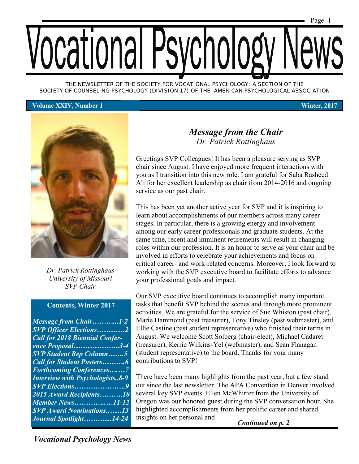*THE NEWSLETTER OF THE SOCIETY FOR VOCATIONAL PSYCHOLOGY: A SECTION OF THE SOCIETY OF COUNSELING PSYCHOLOGY (DIVISION 17) OF THE AMERICAN PSYCHOLOGICAL ASSOCIATION*

#### **Volume XXIV, Number 1 Winter, 2017**



*Dr. Patrick Rottinghaus University of Missouri SVP Chair*

#### **Contents, Winter 2017**

| <b>Message from Chair1-2</b>           |
|----------------------------------------|
| <b>SVP</b> Officer Elections2          |
| <b>Call for 2018 Biennial Confer-</b>  |
| ence Proposal3-4                       |
| <b>SVP Student Rep Column5</b>         |
| <b>Call for Student Posters6</b>       |
| <b>Forthcoming Conferences7</b>        |
| <b>Interview with Psychologists8-9</b> |
| <b>SVP Elections9</b>                  |
| 2015 Award Recipients10                |
| <b>Member News11-12</b>                |
| <b>SVP</b> Award Nominations13         |
| Journal Spotlight14-24                 |

# *Message from the Chair Dr. Patrick Rottinghaus*

Greetings SVP Colleagues! It has been a pleasure serving as SVP chair since August. I have enjoyed more frequent interactions with you as I transition into this new role. I am grateful for Saba Rasheed Ali for her excellent leadership as chair from 2014-2016 and ongoing service as our past chair.

This has been yet another active year for SVP and it is inspiring to learn about accomplishments of our members across many career stages. In particular, there is a growing energy and involvement among our early career professionals and graduate students. At the same time, recent and imminent retirements will result in changing roles within our profession. It is an honor to serve as your chair and be involved in efforts to celebrate your achievements and focus on critical career- and work-related concerns. Moreover, I look forward to working with the SVP executive board to facilitate efforts to advance your professional goals and impact.

Our SVP executive board continues to accomplish many important tasks that benefit SVP behind the scenes and through more prominent activities. We are grateful for the service of Sue Whiston (past chair), Marie Hammond (past treasurer), Tony Tinsley (past webmaster), and Ellie Castine (past student representative) who finished their terms in August. We welcome Scott Solberg (chair-elect), Michael Cadaret (treasurer), Kerrie Wilkins-Yel (webmaster), and Sean Flanagan (student representative) to the board. Thanks for your many contributions to SVP!

There have been many highlights from the past year, but a few stand out since the last newsletter. The APA Convention in Denver involved several key SVP events. Ellen McWhirter from the University of Oregon was our honored guest during the SVP conversation hour. She highlighted accomplishments from her prolific career and shared *Journal Spotlight……….....14-24* insights on her personal and *Continued on p. 2*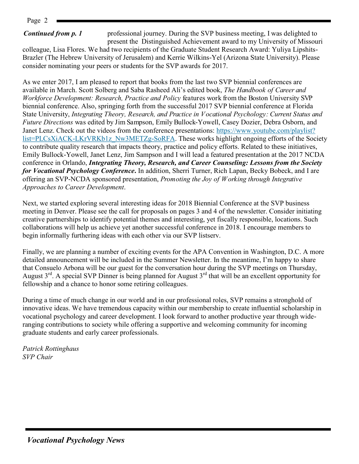Page 2

## *Continued from p. 1*

professional journey. During the SVP business meeting, I was delighted to present the Distinguished Achievement award to my University of Missouri

colleague, Lisa Flores. We had two recipients of the Graduate Student Research Award: Yuliya Lipshits-Brazler (The Hebrew University of Jerusalem) and Kerrie Wilkins-Yel (Arizona State University). Please consider nominating your peers or students for the SVP awards for 2017.

As we enter 2017, I am pleased to report that books from the last two SVP biennial conferences are available in March. Scott Solberg and Saba Rasheed Ali's edited book, *The Handbook of Career and Workforce Development: Research, Practice and Policy* features work from the Boston University SVP biennial conference. Also, springing forth from the successful 2017 SVP biennial conference at Florida State University, *Integrating Theory, Research, and Practice in Vocational Psychology: Current Status and Future Directions* was edited by Jim Sampson, Emily Bullock-Yowell, Casey Dozier, Debra Osborn, and Janet Lenz. Check out the videos from the conference presentations: [https://www.youtube.com/playlist?](https://www.youtube.com/playlist?list=PLCsXiACK-LKrVRKb1z_Nw3METZg-SoRFA) [list=PLCsXiACK-LKrVRKb1z\\_Nw3METZg-SoRFA.](https://www.youtube.com/playlist?list=PLCsXiACK-LKrVRKb1z_Nw3METZg-SoRFA) These works highlight ongoing efforts of the Society to contribute quality research that impacts theory, practice and policy efforts. Related to these initiatives, Emily Bullock-Yowell, Janet Lenz, Jim Sampson and I will lead a featured presentation at the 2017 NCDA conference in Orlando, *Integrating Theory, Research, and Career Counseling: Lessons from the Society for Vocational Psychology Conference***.** In addition, Sherri Turner, Rich Lapan, Becky Bobeck, and I are offering an SVP-NCDA sponsored presentation, *Promoting the Joy of Working through Integrative Approaches to Career Development*.

Next, we started exploring several interesting ideas for 2018 Biennial Conference at the SVP business meeting in Denver. Please see the call for proposals on pages 3 and 4 of the newsletter. Consider initiating creative partnerships to identify potential themes and interesting, yet fiscally responsible, locations. Such collaborations will help us achieve yet another successful conference in 2018. I encourage members to begin informally furthering ideas with each other via our SVP listserv.

Finally, we are planning a number of exciting events for the APA Convention in Washington, D.C. A more detailed announcement will be included in the Summer Newsletter. In the meantime, I'm happy to share that Consuelo Arbona will be our guest for the conversation hour during the SVP meetings on Thursday, August  $3^{rd}$ . A special SVP Dinner is being planned for August  $3^{rd}$  that will be an excellent opportunity for fellowship and a chance to honor some retiring colleagues.

During a time of much change in our world and in our professional roles, SVP remains a stronghold of innovative ideas. We have tremendous capacity within our membership to create influential scholarship in vocational psychology and career development. I look forward to another productive year through wideranging contributions to society while offering a supportive and welcoming community for incoming graduate students and early career professionals.

*Patrick Rottinghaus SVP Chair*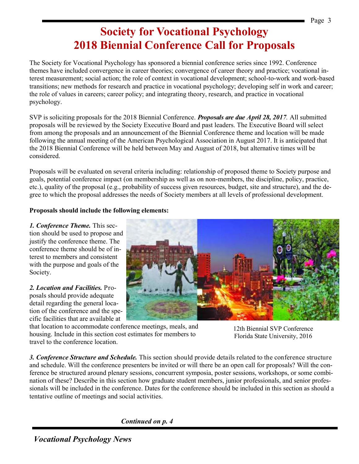# **Society for Vocational Psychology 2018 Biennial Conference Call for Proposals**

The Society for Vocational Psychology has sponsored a biennial conference series since 1992. Conference themes have included convergence in career theories; convergence of career theory and practice; vocational interest measurement; social action; the role of context in vocational development; school-to-work and work-based transitions; new methods for research and practice in vocational psychology; developing self in work and career; the role of values in careers; career policy; and integrating theory, research, and practice in vocational psychology.

SVP is soliciting proposals for the 2018 Biennial Conference. *Proposals are due April 28, 2017.* All submitted proposals will be reviewed by the Society Executive Board and past leaders. The Executive Board will select from among the proposals and an announcement of the Biennial Conference theme and location will be made following the annual meeting of the American Psychological Association in August 2017. It is anticipated that the 2018 Biennial Conference will be held between May and August of 2018, but alternative times will be considered.

Proposals will be evaluated on several criteria including: relationship of proposed theme to Society purpose and goals, potential conference impact (on membership as well as on non-members, the discipline, policy, practice, etc.), quality of the proposal (e.g., probability of success given resources, budget, site and structure), and the degree to which the proposal addresses the needs of Society members at all levels of professional development.

#### **Proposals should include the following elements:**

*1. Conference Theme.* This section should be used to propose and justify the conference theme. The conference theme should be of interest to members and consistent with the purpose and goals of the Society.

*2. Location and Facilities.* Proposals should provide adequate detail regarding the general location of the conference and the specific facilities that are available at



that location to accommodate conference meetings, meals, and housing. Include in this section cost estimates for members to travel to the conference location.

12th Biennial SVP Conference Florida State University, 2016

*3. Conference Structure and Schedule.* This section should provide details related to the conference structure and schedule. Will the conference presenters be invited or will there be an open call for proposals? Will the conference be structured around plenary sessions, concurrent symposia, poster sessions, workshops, or some combination of these? Describe in this section how graduate student members, junior professionals, and senior professionals will be included in the conference. Dates for the conference should be included in this section as should a tentative outline of meetings and social activities.

*Continued on p. 4*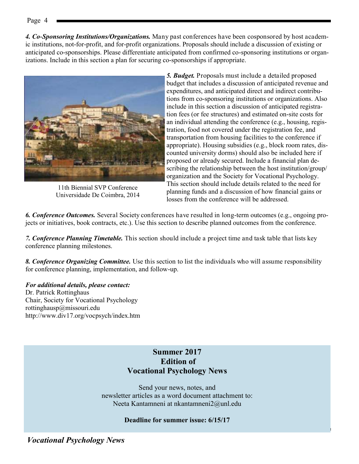*4. Co-Sponsoring Institutions/Organizations.* Many past conferences have been cosponsored by host academic institutions, not-for-profit, and for-profit organizations. Proposals should include a discussion of existing or anticipated co-sponsorships. Please differentiate anticipated from confirmed co-sponsoring institutions or organizations. Include in this section a plan for securing co-sponsorships if appropriate.

> *5. Budget.* Proposals must include a detailed proposed budget that includes a discussion of anticipated revenue and expenditures, and anticipated direct and indirect contributions from co-sponsoring institutions or organizations. Also include in this section a discussion of anticipated registration fees (or fee structures) and estimated on-site costs for an individual attending the conference (e.g., housing, registration, food not covered under the registration fee, and transportation from housing facilities to the conference if appropriate). Housing subsidies (e.g., block room rates, discounted university dorms) should also be included here if proposed or already secured. Include a financial plan describing the relationship between the host institution/group/ organization and the Society for Vocational Psychology. This section should include details related to the need for planning funds and a discussion of how financial gains or losses from the conference will be addressed.

*6. Conference Outcomes.* Several Society conferences have resulted in long-term outcomes (e.g., ongoing projects or initiatives, book contracts, etc.). Use this section to describe planned outcomes from the conference.

*7. Conference Planning Timetable.* This section should include a project time and task table that lists key conference planning milestones.

*8. Conference Organizing Committee.* Use this section to list the individuals who will assume responsibility for conference planning, implementation, and follow-up.

*For additional details, please contact:*  Dr. Patrick Rottinghaus Chair, Society for Vocational Psychology rottinghausp@missouri.edu

http://www.div17.org/vocpsych/index.htm

# **Summer 2017 Edition of Vocational Psychology News**

Send your news, notes, and newsletter articles as a word document attachment to: Neeta Kantamneni at nkantamneni2@unl.edu

### **Deadline for summer issue: 6/15/17**



11th Biennial SVP Conference Universidade De Coimbra, 2014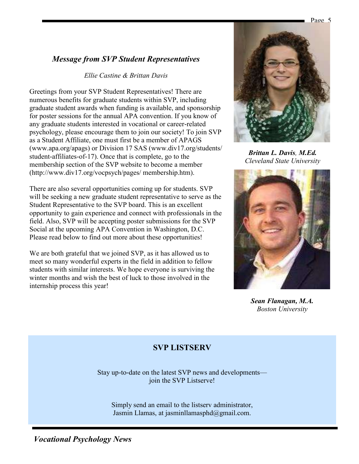# *Message from SVP Student Representatives*

#### *Ellie Castine & Brittan Davis*

Greetings from your SVP Student Representatives! There are numerous benefits for graduate students within SVP, including graduate student awards when funding is available, and sponsorship for poster sessions for the annual APA convention. If you know of any graduate students interested in vocational or career-related psychology, please encourage them to join our society! To join SVP as a Student Affiliate, one must first be a member of APAGS (www.apa.org/apags) or Division 17 SAS (www.div17.org/students/ student-affiliates-of-17). Once that is complete, go to the membership section of the SVP website to become a member (http://www.div17.org/vocpsych/pages/ membership.htm).

There are also several opportunities coming up for students. SVP will be seeking a new graduate student representative to serve as the Student Representative to the SVP board. This is an excellent opportunity to gain experience and connect with professionals in the field. Also, SVP will be accepting poster submissions for the SVP Social at the upcoming APA Convention in Washington, D.C. Please read below to find out more about these opportunities!

We are both grateful that we joined SVP, as it has allowed us to meet so many wonderful experts in the field in addition to fellow students with similar interests. We hope everyone is surviving the winter months and wish the best of luck to those involved in the internship process this year!



*Brittan L. Davis, M.Ed. Cleveland State University*



*Sean Flanagan, M.A. Boston University*

# **SVP LISTSERV**

Stay up-to-date on the latest SVP news and developments join the SVP Listserve!

Simply send an email to the listserv administrator, Jasmin Llamas, at jasminllamasphd@gmail.com.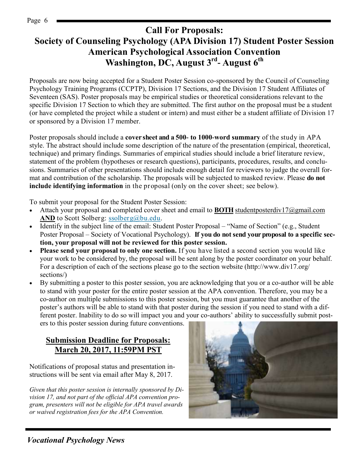#### Page 6

# **Call For Proposals: Society of Counseling Psychology (APA Division 17) Student Poster Session American Psychological Association Convention Washington, DC, August 3rd - August 6th**

Proposals are now being accepted for a Student Poster Session co-sponsored by the Council of Counseling Psychology Training Programs (CCPTP), Division 17 Sections, and the Division 17 Student Affiliates of Seventeen (SAS). Poster proposals may be empirical studies or theoretical considerations relevant to the specific Division 17 Section to which they are submitted. The first author on the proposal must be a student (or have completed the project while a student or intern) and must either be a student affiliate of Division 17 or sponsored by a Division 17 member.

Poster proposals should include a **cover sheet and a 500- to 1000-word summary** of the study in APA style. The abstract should include some description of the nature of the presentation (empirical, theoretical, technique) and primary findings. Summaries of empirical studies should include a brief literature review, statement of the problem (hypotheses or research questions), participants, procedures, results, and conclusions. Summaries of other presentations should include enough detail for reviewers to judge the overall format and contribution of the scholarship. The proposals will be subjected to masked review. Please **do not include identifying information** in the proposal (only on the cover sheet; see below).

To submit your proposal for the Student Poster Session:

- Attach your proposal and completed cover sheet and email to **BOTH** [studentposterdiv17@gmail.com](mailto:studentposterdiv17@gmail.com) **AND** to Scott Solberg: ssolberg@bu.edu.
- Identify in the subject line of the email: Student Poster Proposal "Name of Section" (e.g., Student Poster Proposal – Society of Vocational Psychology). **If you do not send your proposal to a specific section, your proposal will not be reviewed for this poster session.**
- **Please send your proposal to only one section.** If you have listed a second section you would like your work to be considered by, the proposal will be sent along by the poster coordinator on your behalf. For a description of each of the sections please go to the section website (http://www.div17.org/ sections/)
- By submitting a poster to this poster session, you are acknowledging that you or a co-author will be able to stand with your poster for the entire poster session at the APA convention. Therefore, you may be a co-author on multiple submissions to this poster session, but you must guarantee that another of the poster's authors will be able to stand with that poster during the session if you need to stand with a different poster. Inability to do so will impact you and your co-authors' ability to successfully submit posters to this poster session during future conventions.

## **Submission Deadline for Proposals: March 20, 2017, 11:59PM PST**

Notifications of proposal status and presentation instructions will be sent via email after May 8, 2017.

*Given that this poster session is internally sponsored by Division 17, and not part of the official APA convention program, presenters will not be eligible for APA travel awards or waived registration fees for the APA Convention.*

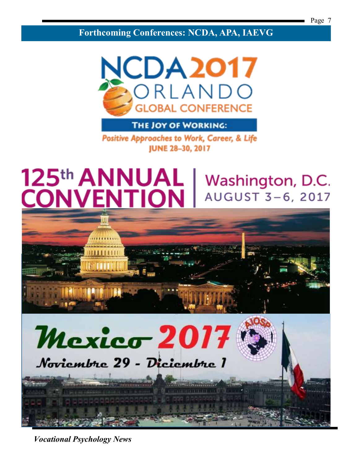**Forthcoming Conferences: NCDA, APA, IAEVG**



THE JOY OF WORKING:

**Positive Approaches to Work, Career, & Life JUNE 28-30, 2017** 

# 125th ANNUAL Washington, D.C. **CONVENTION** AUGUST 3-6, 2017

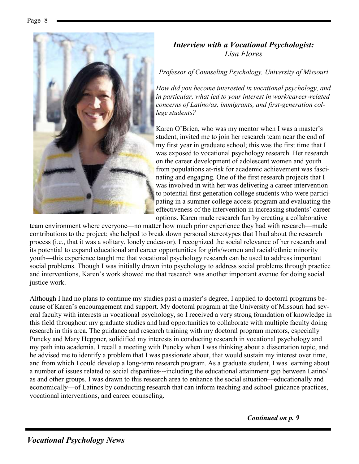

# *Interview with a Vocational Psychologist: Lisa Flores*

*Professor of Counseling Psychology, University of Missouri*

*How did you become interested in vocational psychology, and in particular, what led to your interest in work/career-related concerns of Latino/as, immigrants, and first-generation college students?*

Karen O'Brien, who was my mentor when I was a master's student, invited me to join her research team near the end of my first year in graduate school; this was the first time that I was exposed to vocational psychology research. Her research on the career development of adolescent women and youth from populations at-risk for academic achievement was fascinating and engaging. One of the first research projects that I was involved in with her was delivering a career intervention to potential first generation college students who were participating in a summer college access program and evaluating the effectiveness of the intervention in increasing students' career options. Karen made research fun by creating a collaborative

team environment where everyone—no matter how much prior experience they had with research—made contributions to the project; she helped to break down personal stereotypes that I had about the research process (i.e., that it was a solitary, lonely endeavor). I recognized the social relevance of her research and its potential to expand educational and career opportunities for girls/women and racial/ethnic minority youth—this experience taught me that vocational psychology research can be used to address important social problems. Though I was initially drawn into psychology to address social problems through practice and interventions, Karen's work showed me that research was another important avenue for doing social justice work.

Although I had no plans to continue my studies past a master's degree, I applied to doctoral programs because of Karen's encouragement and support. My doctoral program at the University of Missouri had several faculty with interests in vocational psychology, so I received a very strong foundation of knowledge in this field throughout my graduate studies and had opportunities to collaborate with multiple faculty doing research in this area. The guidance and research training with my doctoral program mentors, especially Puncky and Mary Heppner, solidified my interests in conducting research in vocational psychology and my path into academia. I recall a meeting with Puncky when I was thinking about a dissertation topic, and he advised me to identify a problem that I was passionate about, that would sustain my interest over time, and from which I could develop a long-term research program. As a graduate student, I was learning about a number of issues related to social disparities---including the educational attainment gap between Latino/ as and other groups. I was drawn to this research area to enhance the social situation—educationally and economically—of Latinos by conducting research that can inform teaching and school guidance practices, vocational interventions, and career counseling.

*Continued on p. 9*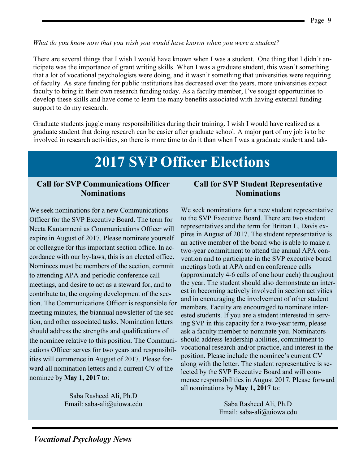#### *What do you know now that you wish you would have known when you were a student?*

There are several things that I wish I would have known when I was a student. One thing that I didn't anticipate was the importance of grant writing skills. When I was a graduate student, this wasn't something that a lot of vocational psychologists were doing, and it wasn't something that universities were requiring of faculty. As state funding for public institutions has decreased over the years, more universities expect faculty to bring in their own research funding today. As a faculty member, I've sought opportunities to develop these skills and have come to learn the many benefits associated with having external funding support to do my research.

Graduate students juggle many responsibilities during their training. I wish I would have realized as a graduate student that doing research can be easier after graduate school. A major part of my job is to be involved in research activities, so there is more time to do it than when I was a graduate student and tak-

# **2017 SVP Officer Elections**

## **Call for SVP Communications Officer Nominations**

We seek nominations for a new Communications Officer for the SVP Executive Board. The term for Neeta Kantamneni as Communications Officer will expire in August of 2017. Please nominate yourself or colleague for this important section office. In accordance with our by-laws, this is an elected office. Nominees must be members of the section, commit to attending APA and periodic conference call meetings, and desire to act as a steward for, and to contribute to, the ongoing development of the section. The Communications Officer is responsible for meeting minutes, the biannual newsletter of the section, and other associated tasks. Nomination letters should address the strengths and qualifications of the nominee relative to this position. The Communications Officer serves for two years and responsibilities will commence in August of 2017. Please forward all nomination letters and a current CV of the nominee by **May 1, 2017** to:

> Saba Rasheed Ali, Ph.D Email: saba-ali@uiowa.edu

## **Call for SVP Student Representative Nominations**

We seek nominations for a new student representative to the SVP Executive Board. There are two student representatives and the term for Brittan L. Davis expires in August of 2017. The student representative is an active member of the board who is able to make a two-year commitment to attend the annual APA convention and to participate in the SVP executive board meetings both at APA and on conference calls (approximately 4-6 calls of one hour each) throughout the year. The student should also demonstrate an interest in becoming actively involved in section activities and in encouraging the involvement of other student members. Faculty are encouraged to nominate interested students. If you are a student interested in serving SVP in this capacity for a two-year term, please ask a faculty member to nominate you. Nominators should address leadership abilities, commitment to vocational research and/or practice, and interest in the position. Please include the nominee's current CV along with the letter. The student representative is selected by the SVP Executive Board and will commence responsibilities in August 2017. Please forward all nominations by **May 1, 2017** to:

> Saba Rasheed Ali, Ph.D Email: saba-ali@uiowa.edu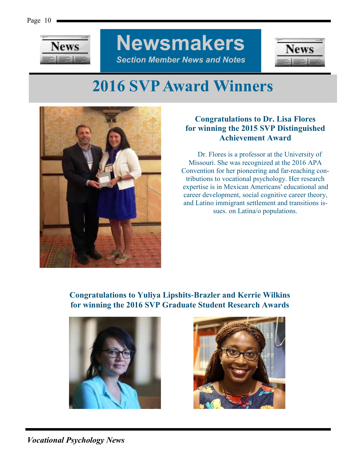

**Newsmakers** *Section Member News and Notes*



# **2016 SVP Award Winners**



# **Congratulations to Dr. Lisa Flores for winning the 2015 SVP Distinguished Achievement Award**

 Dr. Flores is a professor at the University of Missouri. She was recognized at the 2016 APA Convention for her pioneering and far-reaching contributions to vocational psychology. Her research expertise is in Mexican Americans' educational and career development, social cognitive career theory, and Latino immigrant settlement and transitions issues. on Latina/o populations.

**Congratulations to Yuliya Lipshits-Brazler and Kerrie Wilkins for winning the 2016 SVP Graduate Student Research Awards**



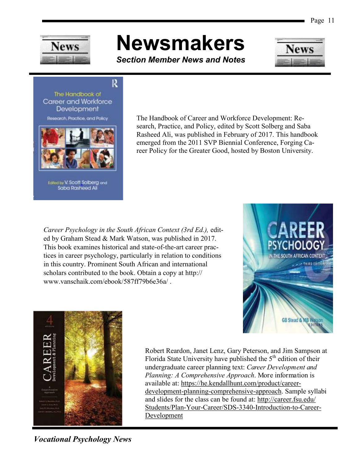

# **Newsmakers**

*Section Member News and Notes*



R The Handbook of Career and Workforce Development Research, Practice, and Policy



Edited by V. Scott Solberg and<br>Saba Rasheed Ali

The Handbook of Career and Workforce Development: Research, Practice, and Policy, edited by Scott Solberg and Saba Rasheed Ali, was published in February of 2017. This handbook emerged from the 2011 SVP Biennial Conference, Forging Career Policy for the Greater Good, hosted by Boston University.

*Career Psychology in the South African Context (3rd Ed.),* edited by Graham Stead & Mark Watson, was published in 2017. This book examines historical and state-of-the-art career practices in career psychology, particularly in relation to conditions in this country. Prominent South African and international scholars contributed to the book. Obtain a copy at http:// www.vanschaik.com/ebook/587ff79b6e36a/ .





Robert Reardon, Janet Lenz, Gary Peterson, and Jim Sampson at Florida State University have published the  $5<sup>th</sup>$  edition of their undergraduate career planning text: *Career Development and Planning: A Comprehensive Approach*. More information is available at: [https://he.kendallhunt.com/product/career](https://he.kendallhunt.com/product/career-development-planning-comprehensive-approach)[development-planning-comprehensive-approach.](https://he.kendallhunt.com/product/career-development-planning-comprehensive-approach) Sample syllabi and slides for the class can be found at: [http://career.fsu.edu/](http://career.fsu.edu/Students/Plan-Your-Career/SDS-3340-Introduction-to-Career-Development) [Students/Plan-Your-Career/SDS-3340-Introduction-to-Career-](http://career.fsu.edu/Students/Plan-Your-Career/SDS-3340-Introduction-to-Career-Development)**[Development](http://career.fsu.edu/Students/Plan-Your-Career/SDS-3340-Introduction-to-Career-Development)**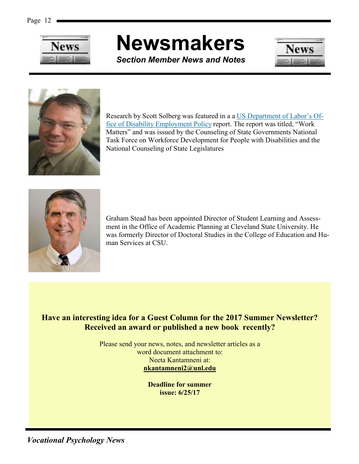

# **Newsmakers**

*Section Member News and Notes*





Research by Scott Solberg was featured in a a [US Department of Labor's Of](https://www.dol.gov/odep/)[fice of Disability Employment Policy](https://www.dol.gov/odep/) report. The report was titled, "Work Matters" and was issued by the Counseling of State Governments National Task Force on Workforce Development for People with Disabilities and the National Counseling of State Legislatures



Graham Stead has been appointed Director of Student Learning and Assessment in the Office of Academic Planning at Cleveland State University. He was formerly Director of Doctoral Studies in the College of Education and Human Services at CSU.

# **Have an interesting idea for a Guest Column for the 2017 Summer Newsletter? Received an award or published a new book recently?**

Please send your news, notes, and newsletter articles as a word document attachment to: Neeta Kantamneni at: **nkantamneni2@unl.edu**

> **Deadline for summer issue: 6/25/17**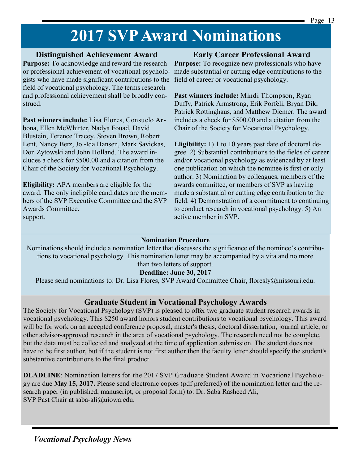# **2017 SVP Award Nominations**

### **Distinguished Achievement Award**

**Purpose:** To acknowledge and reward the research or professional achievement of vocational psychologists who have made significant contributions to the field of career or vocational psychology. field of vocational psychology. The terms research and professional achievement shall be broadly construed.

**Past winners include:** Lisa Flores, Consuelo Arbona, Ellen McWhirter, Nadya Fouad, David Blustein, Terence Tracey, Steven Brown, Robert Lent, Nancy Betz, Jo -Ida Hansen, Mark Savickas, Don Zytowski and John Holland. The award includes a check for \$500.00 and a citation from the Chair of the Society for Vocational Psychology.

**Eligibility:** APA members are eligible for the award. The only ineligible candidates are the members of the SVP Executive Committee and the SVP Awards Committee. support.

# **Early Career Professional Award**

**Purpose:** To recognize new professionals who have made substantial or cutting edge contributions to the

**Past winners include:** Mindi Thompson, Ryan Duffy, Patrick Armstrong, Erik Porfeli, Bryan Dik, Patrick Rottinghaus, and Matthew Diemer. The award includes a check for \$500.00 and a citation from the Chair of the Society for Vocational Psychology.

**Eligibility:** 1) 1 to 10 years past date of doctoral degree. 2) Substantial contributions to the fields of career and/or vocational psychology as evidenced by at least one publication on which the nominee is first or only author. 3) Nomination by colleagues, members of the awards committee, or members of SVP as having made a substantial or cutting edge contribution to the field. 4) Demonstration of a commitment to continuing to conduct research in vocational psychology. 5) An active member in SVP.

### **Nomination Procedure**

Nominations should include a nomination letter that discusses the significance of the nominee's contributions to vocational psychology. This nomination letter may be accompanied by a vita and no more than two letters of support.

## **Deadline: June 30, 2017**

Please send nominations to: Dr. Lisa Flores, SVP Award Committee Chair, floresly@missouri.edu.

# **Graduate Student in Vocational Psychology Awards**

The Society for Vocational Psychology (SVP) is pleased to offer two graduate student research awards in vocational psychology. This \$250 award honors student contributions to vocational psychology. This award will be for work on an accepted conference proposal, master's thesis, doctoral dissertation, journal article, or other advisor-approved research in the area of vocational psychology. The research need not be complete, but the data must be collected and analyzed at the time of application submission. The student does not have to be first author, but if the student is not first author then the faculty letter should specify the student's substantive contributions to the final product.

**DEADLINE**: Nomination letters for the 2017 SVP Graduate Student Award in Vocational Psychology are due **May 15, 2017.** Please send electronic copies (pdf preferred) of the nomination letter and the research paper (in published, manuscript, or proposal form) to: Dr. Saba Rasheed Ali, SVP Past Chair at saba-ali@uiowa.edu.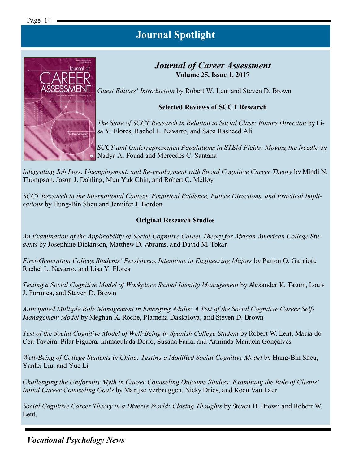

# *Journal of Career Assessment* **Volume 25, Issue 1, 2017**

G*uest Editors' Introduction* by Robert W. Lent and Steven D. Brown

### **Selected Reviews of SCCT Research**

*The State of SCCT Research in Relation to Social Class: Future Direction* by Lisa Y. Flores, Rachel L. Navarro, and Saba Rasheed Ali

*SCCT and Underrepresented Populations in STEM Fields: Moving the Needle* by Nadya A. Fouad and Mercedes C. Santana

*Integrating Job Loss, Unemployment, and Re-employment with Social Cognitive Career Theory* by Mindi N. Thompson, Jason J. Dahling, Mun Yuk Chin, and Robert C. Melloy

*SCCT Research in the International Context: Empirical Evidence, Future Directions, and Practical Implications* by Hung-Bin Sheu and Jennifer J. Bordon

#### **Original Research Studies**

*An Examination of the Applicability of Social Cognitive Career Theory for African American College Students* by Josephine Dickinson, Matthew D. Abrams, and David M. Tokar

*First-Generation College Students' Persistence Intentions in Engineering Majors* by Patton O. Garriott, Rachel L. Navarro, and Lisa Y. Flores

*Testing a Social Cognitive Model of Workplace Sexual Identity Management* by Alexander K. Tatum, Louis J. Formica, and Steven D. Brown

*Anticipated Multiple Role Management in Emerging Adults: A Test of the Social Cognitive Career Self-Management Model* by Meghan K. Roche, Plamena Daskalova, and Steven D. Brown

*Test of the Social Cognitive Model of Well-Being in Spanish College Student* by Robert W. Lent, Maria do Céu Taveira, Pilar Figuera, Immaculada Dorio, Susana Faria, and Arminda Manuela Gonçalves

*Well-Being of College Students in China: Testing a Modified Social Cognitive Model* by Hung-Bin Sheu, Yanfei Liu, and Yue Li

*Challenging the Uniformity Myth in Career Counseling Outcome Studies: Examining the Role of Clients' Initial Career Counseling Goals* by Marijke Verbruggen, Nicky Dries, and Koen Van Laer

*Social Cognitive Career Theory in a Diverse World: Closing Thoughts* by Steven D. Brown and Robert W. Lent.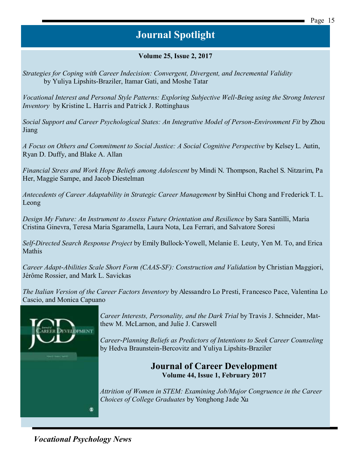#### **Volume 25, Issue 2, 2017**

*Strategies for Coping with Career Indecision: Convergent, Divergent, and Incremental Validity* by Yuliya Lipshits-Braziler, Itamar Gati, and Moshe Tatar

*Vocational Interest and Personal Style Patterns: Exploring Subjective Well-Being using the Strong Interest Inventory* by Kristine L. Harris and Patrick J. Rottinghaus

*Social Support and Career Psychological States: An Integrative Model of Person-Environment Fit* by Zhou Jiang

*A Focus on Others and Commitment to Social Justice: A Social Cognitive Perspective* by Kelsey L. Autin, Ryan D. Duffy, and Blake A. Allan

*Financial Stress and Work Hope Beliefs among Adolescent* by Mindi N. Thompson, Rachel S. Nitzarim, Pa Her, Maggie Sampe, and Jacob Diestelman

*Antecedents of Career Adaptability in Strategic Career Management* by SinHui Chong and Frederick T. L. Leong

*Design My Future: An Instrument to Assess Future Orientation and Resilience* by Sara Santilli, Maria Cristina Ginevra, Teresa Maria Sgaramella, Laura Nota, Lea Ferrari, and Salvatore Soresi

*Self-Directed Search Response Project* by Emily Bullock-Yowell, Melanie E. Leuty, Yen M. To, and Erica Mathis

*Career Adapt-Abilities Scale Short Form (CAAS-SF): Construction and Validation* by Christian Maggiori, Jérôme Rossier, and Mark L. Savickas

*The Italian Version of the Career Factors Inventory* by Alessandro Lo Presti, Francesco Pace, Valentina Lo Cascio, and Monica Capuano



*Career Interests, Personality, and the Dark Trial* by Travis J. Schneider, Matthew M. McLarnon, and Julie J. Carswell

*Career-Planning Beliefs as Predictors of Intentions to Seek Career Counseling*  by Hedva Braunstein-Bercovitz and Yuliya Lipshits-Braziler

> **Journal of Career Development Volume 44, Issue 1, February 2017**

*Attrition of Women in STEM: Examining Job/Major Congruence in the Career Choices of College Graduates* by Yonghong Jade Xu

*Vocational Psychology News*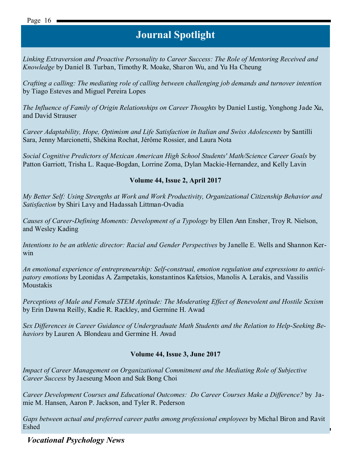*Linking Extraversion and Proactive Personality to Career Success: The Role of Mentoring Received and Knowledge* by Daniel B. Turban, Timothy R. Moake, Sharon Wu, and Yu Ha Cheung

*Crafting a calling: The mediating role of calling between challenging job demands and turnover intention*  by Tiago Esteves and Miguel Pereira Lopes

*The Influence of Family of Origin Relationships on Career Thoughts* by Daniel Lustig, Yonghong Jade Xu, and David Strauser

*Career Adaptability, Hope, Optimism and Life Satisfaction in Italian and Swiss Adolescents* by Santilli Sara, Jenny Marcionetti, Shékina Rochat, Jérôme Rossier, and Laura Nota

*Social Cognitive Predictors of Mexican American High School Students' Math/Science Career Goals* by Patton Garriott, Trisha L. Raque-Bogdan, Lorrine Zoma, Dylan Mackie-Hernandez, and Kelly Lavin

### **Volume 44, Issue 2, April 2017**

*My Better Self: Using Strengths at Work and Work Productivity, Organizational Citizenship Behavior and Satisfaction* by Shiri Lavy and Hadassah Littman-Ovadia

*Causes of Career-Defining Moments: Development of a Typology* by Ellen Ann Ensher, Troy R. Nielson, and Wesley Kading

*Intentions to be an athletic director: Racial and Gender Perspectives* by Janelle E. Wells and Shannon Kerwin

*An emotional experience of entrepreneurship: Self-construal, emotion regulation and expressions to anticipatory emotions* by Leonidas A. Zampetakis, konstantinos Kafetsios, Manolis A. Lerakis, and Vassilis Moustakis

*Perceptions of Male and Female STEM Aptitude: The Moderating Effect of Benevolent and Hostile Sexism*  by Erin Dawna Reilly, Kadie R. Rackley, and Germine H. Awad

*Sex Differences in Career Guidance of Undergraduate Math Students and the Relation to Help-Seeking Behaviors* by Lauren A. Blondeau and Germine H. Awad

### **Volume 44, Issue 3, June 2017**

*Impact of Career Management on Organizational Commitment and the Mediating Role of Subjective Career Success* by Jaeseung Moon and Suk Bong Choi

*Career Development Courses and Educational Outcomes: Do Career Courses Make a Difference?* by Jamie M. Hansen, Aaron P. Jackson, and Tyler R. Pederson

*Gaps between actual and preferred career paths among professional employees* by Michal Biron and Ravit Eshed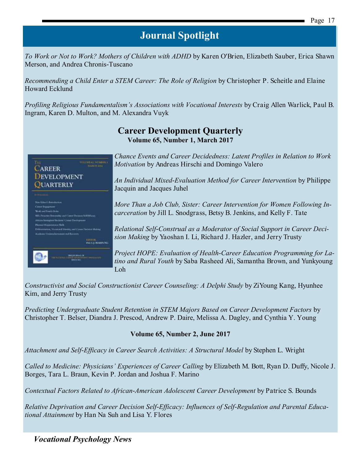*To Work or Not to Work? Mothers of Children with ADHD* by Karen O'Brien, Elizabeth Sauber, Erica Shawn Merson, and Andrea Chronis-Tuscano

*Recommending a Child Enter a STEM Career: The Role of Religion* by Christopher P. Scheitle and Elaine Howard Ecklund

*Profiling Religious Fundamentalism's Associations with Vocational Interests* by Craig Allen Warlick, Paul B. Ingram, Karen D. Multon, and M. Alexandra Vuyk



# **Career Development Quarterly Volume 65, Number 1, March 2017**

*Chance Events and Career Decidedness: Latent Profiles in Relation to Work Motivation* by Andreas Hirschi and Domingo Valero

*An Individual Mixed-Evaluation Method for Career Intervention* by Philippe Jacquin and Jacques Juhel

*More Than a Job Club, Sister: Career Intervention for Women Following Incarceration* by Jill L. Snodgrass, Betsy B. Jenkins, and Kelly F. Tate

*Relational Self-Construal as a Moderator of Social Support in Career Decision Making* by Yaoshan I. Li, Richard J. Hazler, and Jerry Trusty

*Project HOPE: Evaluation of Health-Career Education Programming for Latino and Rural Youth* by Saba Rasheed Ali, Samantha Brown, and Yunkyoung Loh

*Constructivist and Social Constructionist Career Counseling: A Delphi Study* by ZiYoung Kang, Hyunhee Kim, and Jerry Trusty

*Predicting Undergraduate Student Retention in STEM Majors Based on Career Development Factors* by Christopher T. Belser, Diandra J. Prescod, Andrew P. Daire, Melissa A. Dagley, and Cynthia Y. Young

### **Volume 65, Number 2, June 2017**

*Attachment and Self-Efficacy in Career Search Activities: A Structural Model* by Stephen L. Wright

*Called to Medicine: Physicians' Experiences of Career Calling* by Elizabeth M. Bott, Ryan D. Duffy, Nicole J. Borges, Tara L. Braun, Kevin P. Jordan and Joshua F. Marino

*Contextual Factors Related to African-American Adolescent Career Development* by Patrice S. Bounds

*Relative Deprivation and Career Decision Self-Efficacy: Influences of Self-Regulation and Parental Educational Attainment* by Han Na Suh and Lisa Y. Flores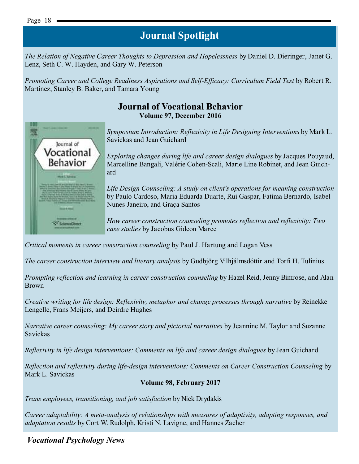*The Relation of Negative Career Thoughts to Depression and Hopelessness* by Daniel D. Dieringer, Janet G. Lenz, Seth C. W. Hayden, and Gary W. Peterson

*Promoting Career and College Readiness Aspirations and Self-Efficacy: Curriculum Field Test* by Robert R. Martinez, Stanley B. Baker, and Tamara Young

## **Journal of Vocational Behavior Volume 97, December 2016**



*Symposium Introduction: Reflexivity in Life Designing Interventions* by Mark L. Savickas and Jean Guichard

*Exploring changes during life and career design dialogues* by Jacques Pouyaud, Marcelline Bangali, Valérie Cohen-Scali, Marie Line Robinet, and Jean Guichard

*Life Design Counseling: A study on client's operations for meaning construction*  by Paulo Cardoso, Maria Eduarda Duarte, Rui Gaspar, Fátima Bernardo, Isabel Nunes Janeiro, and Graça Santos

*How career construction counseling promotes reflection and reflexivity: Two case studies* by Jacobus Gideon Maree

*Critical moments in career construction counseling* by Paul J. Hartung and Logan Vess

*The career construction interview and literary analysis* by Gudbjörg Vilhjálmsdóttir and Torfi H. Tulinius

*Prompting reflection and learning in career construction counseling* by Hazel Reid, Jenny Bimrose, and Alan Brown

*Creative writing for life design: Reflexivity, metaphor and change processes through narrative by Reinekke* Lengelle, Frans Meijers, and Deirdre Hughes

*Narrative career counseling: My career story and pictorial narratives* by Jeannine M. Taylor and Suzanne Savickas

*Reflexivity in life design interventions: Comments on life and career design dialogues* by Jean Guichard

*Reflection and reflexivity during life-design interventions: Comments on Career Construction Counseling* by Mark L. Savickas

#### **Volume 98, February 2017**

*Trans employees, transitioning, and job satisfaction* by Nick Drydakis

*Career adaptability: A meta-analysis of relationships with measures of adaptivity, adapting responses, and adaptation results* by Cort W. Rudolph, Kristi N. Lavigne, and Hannes Zacher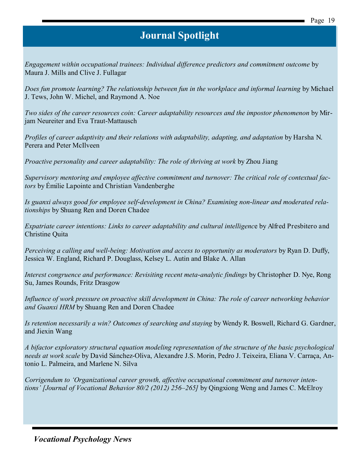*Engagement within occupational trainees: Individual difference predictors and commitment outcome* by Maura J. Mills and Clive J. Fullagar

*Does fun promote learning? The relationship between fun in the workplace and informal learning* by Michael J. Tews, John W. Michel, and Raymond A. Noe

*Two sides of the career resources coin: Career adaptability resources and the impostor phenomenon* by Mirjam Neureiter and Eva Traut-Mattausch

*Profiles of career adaptivity and their relations with adaptability, adapting, and adaptation* by Harsha N. Perera and Peter McIlveen

*Proactive personality and career adaptability: The role of thriving at work* by Zhou Jiang

*Supervisory mentoring and employee affective commitment and turnover: The critical role of contextual factors* by Émilie Lapointe and Christian Vandenberghe

*Is guanxi always good for employee self-development in China? Examining non-linear and moderated relationships* by Shuang Ren and Doren Chadee

*Expatriate career intentions: Links to career adaptability and cultural intelligenc*e by Alfred Presbitero and Christine Quita

*Perceiving a calling and well-being: Motivation and access to opportunity as moderators* by Ryan D. Duffy, Jessica W. England, Richard P. Douglass, Kelsey L. Autin and Blake A. Allan

*Interest congruence and performance: Revisiting recent meta-analytic findings* by Christopher D. Nye, Rong Su, James Rounds, Fritz Drasgow

*Influence of work pressure on proactive skill development in China: The role of career networking behavior and Guanxi HRM* by Shuang Ren and Doren Chadee

*Is retention necessarily a win? Outcomes of searching and staying* by Wendy R. Boswell, Richard G. Gardner, and Jiexin Wang

*A bifactor exploratory structural equation modeling representation of the structure of the basic psychological needs at work scale* by David Sánchez-Oliva, Alexandre J.S. Morin, Pedro J. Teixeira, Eliana V. Carraça, Antonio L. Palmeira, and Marlene N. Silva

*Corrigendum to 'Organizational career growth, affective occupational commitment and turnover intentions' [Journal of Vocational Behavior 80/2 (2012) 256–265]* by Qingxiong Weng and James C. McElroy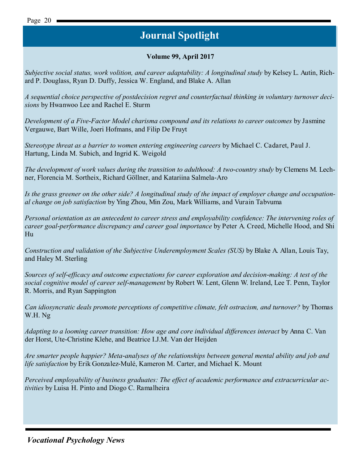## **Volume 99, April 2017**

*Subjective social status, work volition, and career adaptability: A longitudinal study* by Kelsey L. Autin, Richard P. Douglass, Ryan D. Duffy, Jessica W. England, and Blake A. Allan

*A sequential choice perspective of postdecision regret and counterfactual thinking in voluntary turnover decisions* by Hwanwoo Lee and Rachel E. Sturm

*Development of a Five-Factor Model charisma compound and its relations to career outcomes* by Jasmine Vergauwe, Bart Wille, Joeri Hofmans, and Filip De Fruyt

*Stereotype threat as a barrier to women entering engineering careers* by Michael C. Cadaret, Paul J. Hartung, Linda M. Subich, and Ingrid K. Weigold

*The development of work values during the transition to adulthood: A two-country study* by Clemens M. Lechner, Florencia M. Sortheix, Richard Göllner, and Katariina Salmela-Aro

*Is the grass greener on the other side? A longitudinal study of the impact of employer change and occupational change on job satisfaction* by Ying Zhou, Min Zou, Mark Williams, and Vurain Tabvuma

*Personal orientation as an antecedent to career stress and employability confidence: The intervening roles of career goal-performance discrepancy and career goal importance* by Peter A. Creed, Michelle Hood, and Shi Hu

*Construction and validation of the Subjective Underemployment Scales (SUS)* by Blake A. Allan, Louis Tay, and Haley M. Sterling

*Sources of self-efficacy and outcome expectations for career exploration and decision-making: A test of the social cognitive model of career self-management* by Robert W. Lent, Glenn W. Ireland, Lee T. Penn, Taylor R. Morris, and Ryan Sappington

*Can idiosyncratic deals promote perceptions of competitive climate, felt ostracism, and turnover?* by Thomas W.H. Ng

*Adapting to a looming career transition: How age and core individual differences interact* by Anna C. Van der Horst, Ute-Christine Klehe, and Beatrice I.J.M. Van der Heijden

*Are smarter people happier? Meta-analyses of the relationships between general mental ability and job and life satisfaction* by Erik Gonzalez-Mulé, Kameron M. Carter, and Michael K. Mount

*Perceived employability of business graduates: The effect of academic performance and extracurricular activities* by Luisa H. Pinto and Diogo C. Ramalheira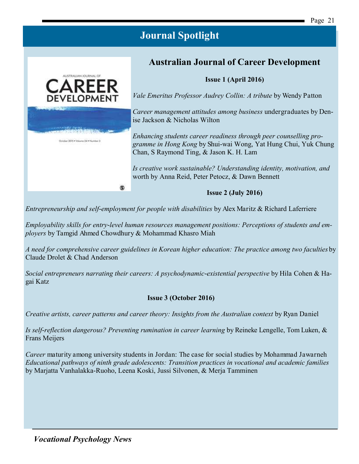# **Australian Journal of Career Development**

**Issue 1 (April 2016)**

*Vale Emeritus Professor Audrey Collin: A tribute* by Wendy Patton

*Career management attitudes among business* undergraduates by Denise Jackson & Nicholas Wilton

*Enhancing students career readiness through peer counselling programme in Hong Kong* by Shui-wai Wong, Yat Hung Chui, Yuk Chung Chan, S Raymond Ting, & Jason K. H. Lam

*Is creative work sustainable? Understanding identity, motivation, and* worth by Anna Reid, Peter Petocz, & Dawn Bennett

 $\circleds$ 

### **Issue 2 (July 2016)**

*Entrepreneurship and self-employment for people with disabilities* by Alex Maritz & Richard Laferriere

*Employability skills for entry-level human resources management positions: Perceptions of students and employers* by Tamgid Ahmed Chowdhury & Mohammad Khasro Miah

*A need for comprehensive career guidelines in Korean higher education: The practice among two faculties* by Claude Drolet & Chad Anderson

*Social entrepreneurs narrating their careers: A psychodynamic-existential perspective* by Hila Cohen & Hagai Katz

### **Issue 3 (October 2016)**

*Creative artists, career patterns and career theory: Insights from the Australian context* by Ryan Daniel

*Is self-reflection dangerous? Preventing rumination in career learning* by Reineke Lengelle, Tom Luken, & Frans Meijers

*Career* maturity among university students in Jordan: The case for social studies by Mohammad Jawarneh *Educational pathways of ninth grade adolescents: Transition practices in vocational and academic families* by Marjatta Vanhalakka-Ruoho, Leena Koski, Jussi Silvonen, & Merja Tamminen